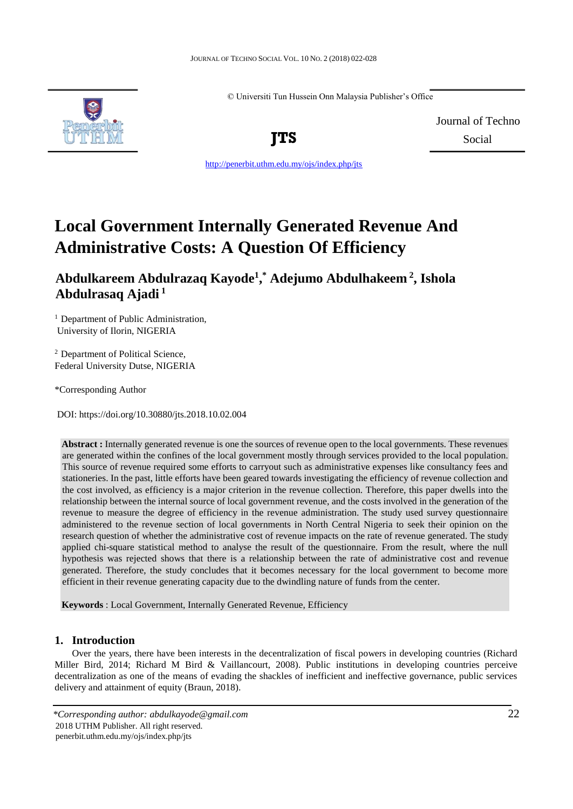© Universiti Tun Hussein Onn Malaysia Publisher's Office



Journal of Techno **JTS** Social

<http://penerbit.uthm.edu.my/ojs/index.php/jts>

# **Local Government Internally Generated Revenue And Administrative Costs: A Question Of Efficiency**

## **Abdulkareem Abdulrazaq Kayode<sup>1</sup> , \* Adejumo Abdulhakeem <sup>2</sup> , Ishola Abdulrasaq Ajadi <sup>1</sup>**

<sup>1</sup> Department of Public Administration, University of Ilorin, NIGERIA

<sup>2</sup> Department of Political Science, Federal University Dutse, NIGERIA

\*Corresponding Author

DOI: https://doi.org/10.30880/jts.2018.10.02.004

**Abstract :** Internally generated revenue is one the sources of revenue open to the local governments. These revenues are generated within the confines of the local government mostly through services provided to the local population. This source of revenue required some efforts to carryout such as administrative expenses like consultancy fees and stationeries. In the past, little efforts have been geared towards investigating the efficiency of revenue collection and the cost involved, as efficiency is a major criterion in the revenue collection. Therefore, this paper dwells into the relationship between the internal source of local government revenue, and the costs involved in the generation of the revenue to measure the degree of efficiency in the revenue administration. The study used survey questionnaire administered to the revenue section of local governments in North Central Nigeria to seek their opinion on the research question of whether the administrative cost of revenue impacts on the rate of revenue generated. The study applied chi-square statistical method to analyse the result of the questionnaire. From the result, where the null hypothesis was rejected shows that there is a relationship between the rate of administrative cost and revenue generated. Therefore, the study concludes that it becomes necessary for the local government to become more efficient in their revenue generating capacity due to the dwindling nature of funds from the center.

**Keywords** : Local Government, Internally Generated Revenue, Efficiency

## **1. Introduction**

Over the years, there have been interests in the decentralization of fiscal powers in developing countries (Richard Miller Bird, 2014; Richard M Bird & Vaillancourt, 2008). Public institutions in developing countries perceive decentralization as one of the means of evading the shackles of inefficient and ineffective governance, public services delivery and attainment of equity (Braun, 2018).

*<sup>\*</sup>Corresponding author: abdulkayode@gmail.com* 22 2018 UTHM Publisher. All right reserved. penerbit.uthm.edu.my/ojs/index.php/jts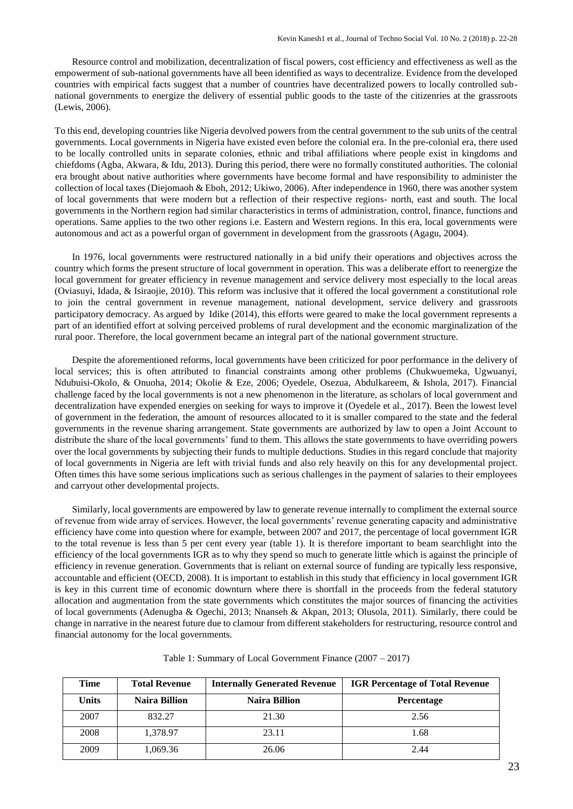Resource control and mobilization, decentralization of fiscal powers, cost efficiency and effectiveness as well as the empowerment of sub-national governments have all been identified as ways to decentralize. Evidence from the developed countries with empirical facts suggest that a number of countries have decentralized powers to locally controlled subnational governments to energize the delivery of essential public goods to the taste of the citizenries at the grassroots (Lewis, 2006).

To this end, developing countries like Nigeria devolved powers from the central government to the sub units of the central governments. Local governments in Nigeria have existed even before the colonial era. In the pre-colonial era, there used to be locally controlled units in separate colonies, ethnic and tribal affiliations where people exist in kingdoms and chiefdoms (Agba, Akwara, & Idu, 2013). During this period, there were no formally constituted authorities. The colonial era brought about native authorities where governments have become formal and have responsibility to administer the collection of local taxes (Diejomaoh & Eboh, 2012; Ukiwo, 2006). After independence in 1960, there was another system of local governments that were modern but a reflection of their respective regions- north, east and south. The local governments in the Northern region had similar characteristics in terms of administration, control, finance, functions and operations. Same applies to the two other regions i.e. Eastern and Western regions. In this era, local governments were autonomous and act as a powerful organ of government in development from the grassroots (Agagu, 2004).

In 1976, local governments were restructured nationally in a bid unify their operations and objectives across the country which forms the present structure of local government in operation. This was a deliberate effort to reenergize the local government for greater efficiency in revenue management and service delivery most especially to the local areas (Oviasuyi, Idada, & Isiraojie, 2010). This reform was inclusive that it offered the local government a constitutional role to join the central government in revenue management, national development, service delivery and grassroots participatory democracy. As argued by Idike (2014), this efforts were geared to make the local government represents a part of an identified effort at solving perceived problems of rural development and the economic marginalization of the rural poor. Therefore, the local government became an integral part of the national government structure.

Despite the aforementioned reforms, local governments have been criticized for poor performance in the delivery of local services; this is often attributed to financial constraints among other problems (Chukwuemeka, Ugwuanyi, Ndubuisi-Okolo, & Onuoha, 2014; Okolie & Eze, 2006; Oyedele, Osezua, Abdulkareem, & Ishola, 2017). Financial challenge faced by the local governments is not a new phenomenon in the literature, as scholars of local government and decentralization have expended energies on seeking for ways to improve it (Oyedele et al., 2017). Been the lowest level of government in the federation, the amount of resources allocated to it is smaller compared to the state and the federal governments in the revenue sharing arrangement. State governments are authorized by law to open a Joint Account to distribute the share of the local governments' fund to them. This allows the state governments to have overriding powers over the local governments by subjecting their funds to multiple deductions. Studies in this regard conclude that majority of local governments in Nigeria are left with trivial funds and also rely heavily on this for any developmental project. Often times this have some serious implications such as serious challenges in the payment of salaries to their employees and carryout other developmental projects.

Similarly, local governments are empowered by law to generate revenue internally to compliment the external source of revenue from wide array of services. However, the local governments' revenue generating capacity and administrative efficiency have come into question where for example, between 2007 and 2017, the percentage of local government IGR to the total revenue is less than 5 per cent every year (table 1). It is therefore important to beam searchlight into the efficiency of the local governments IGR as to why they spend so much to generate little which is against the principle of efficiency in revenue generation. Governments that is reliant on external source of funding are typically less responsive, accountable and efficient (OECD, 2008). It is important to establish in this study that efficiency in local government IGR is key in this current time of economic downturn where there is shortfall in the proceeds from the federal statutory allocation and augmentation from the state governments which constitutes the major sources of financing the activities of local governments (Adenugba & Ogechi, 2013; Nnanseh & Akpan, 2013; Olusola, 2011). Similarly, there could be change in narrative in the nearest future due to clamour from different stakeholders for restructuring, resource control and financial autonomy for the local governments.

| Time  | <b>Total Revenue</b> | <b>Internally Generated Revenue</b> | <b>IGR Percentage of Total Revenue</b><br><b>Percentage</b> |  |
|-------|----------------------|-------------------------------------|-------------------------------------------------------------|--|
| Units | <b>Naira Billion</b> | <b>Naira Billion</b>                |                                                             |  |
| 2007  | 832.27               | 21.30                               | 2.56                                                        |  |
| 2008  | 1,378.97             | 23.11                               | 1.68                                                        |  |
| 2009  | 1,069.36             | 26.06                               | 2.44                                                        |  |

Table 1: Summary of Local Government Finance (2007 – 2017)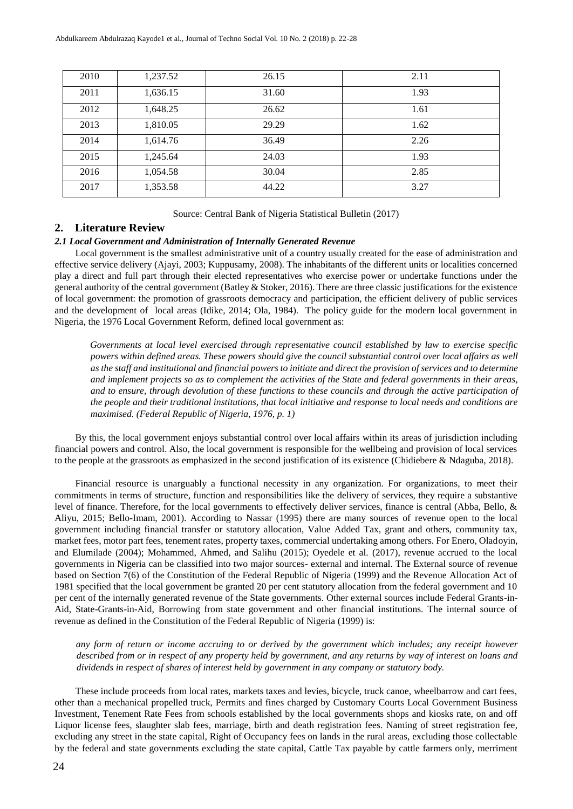| 2010 | 1,237.52 | 26.15 | 2.11 |
|------|----------|-------|------|
| 2011 | 1,636.15 | 31.60 | 1.93 |
| 2012 | 1,648.25 | 26.62 | 1.61 |
| 2013 | 1,810.05 | 29.29 | 1.62 |
| 2014 | 1,614.76 | 36.49 | 2.26 |
| 2015 | 1,245.64 | 24.03 | 1.93 |
| 2016 | 1,054.58 | 30.04 | 2.85 |
| 2017 | 1,353.58 | 44.22 | 3.27 |

Source: Central Bank of Nigeria Statistical Bulletin (2017)

#### **2. Literature Review**

#### *2.1 Local Government and Administration of Internally Generated Revenue*

Local government is the smallest administrative unit of a country usually created for the ease of administration and effective service delivery (Ajayi, 2003; Kuppusamy, 2008). The inhabitants of the different units or localities concerned play a direct and full part through their elected representatives who exercise power or undertake functions under the general authority of the central government (Batley & Stoker, 2016). There are three classic justifications for the existence of local government: the promotion of grassroots democracy and participation, the efficient delivery of public services and the development of local areas (Idike, 2014; Ola, 1984). The policy guide for the modern local government in Nigeria, the 1976 Local Government Reform, defined local government as:

*Governments at local level exercised through representative council established by law to exercise specific powers within defined areas. These powers should give the council substantial control over local affairs as well as the staff and institutional and financial powers to initiate and direct the provision of services and to determine and implement projects so as to complement the activities of the State and federal governments in their areas, and to ensure, through devolution of these functions to these councils and through the active participation of the people and their traditional institutions, that local initiative and response to local needs and conditions are maximised. (Federal Republic of Nigeria, 1976, p. 1)* 

By this, the local government enjoys substantial control over local affairs within its areas of jurisdiction including financial powers and control. Also, the local government is responsible for the wellbeing and provision of local services to the people at the grassroots as emphasized in the second justification of its existence (Chidiebere & Ndaguba, 2018).

Financial resource is unarguably a functional necessity in any organization. For organizations, to meet their commitments in terms of structure, function and responsibilities like the delivery of services, they require a substantive level of finance. Therefore, for the local governments to effectively deliver services, finance is central (Abba, Bello, & Aliyu, 2015; Bello-Imam, 2001). According to Nassar (1995) there are many sources of revenue open to the local government including financial transfer or statutory allocation, Value Added Tax, grant and others, community tax, market fees, motor part fees, tenement rates, property taxes, commercial undertaking among others. For Enero, Oladoyin, and Elumilade (2004); Mohammed, Ahmed, and Salihu (2015); Oyedele et al. (2017), revenue accrued to the local governments in Nigeria can be classified into two major sources- external and internal. The External source of revenue based on Section 7(6) of the Constitution of the Federal Republic of Nigeria (1999) and the Revenue Allocation Act of 1981 specified that the local government be granted 20 per cent statutory allocation from the federal government and 10 per cent of the internally generated revenue of the State governments. Other external sources include Federal Grants-in-Aid, State-Grants-in-Aid, Borrowing from state government and other financial institutions. The internal source of revenue as defined in the Constitution of the Federal Republic of Nigeria (1999) is:

*any form of return or income accruing to or derived by the government which includes; any receipt however described from or in respect of any property held by government, and any returns by way of interest on loans and dividends in respect of shares of interest held by government in any company or statutory body.* 

These include proceeds from local rates, markets taxes and levies, bicycle, truck canoe, wheelbarrow and cart fees, other than a mechanical propelled truck, Permits and fines charged by Customary Courts Local Government Business Investment, Tenement Rate Fees from schools established by the local governments shops and kiosks rate, on and off Liquor license fees, slaughter slab fees, marriage, birth and death registration fees. Naming of street registration fee, excluding any street in the state capital, Right of Occupancy fees on lands in the rural areas, excluding those collectable by the federal and state governments excluding the state capital, Cattle Tax payable by cattle farmers only, merriment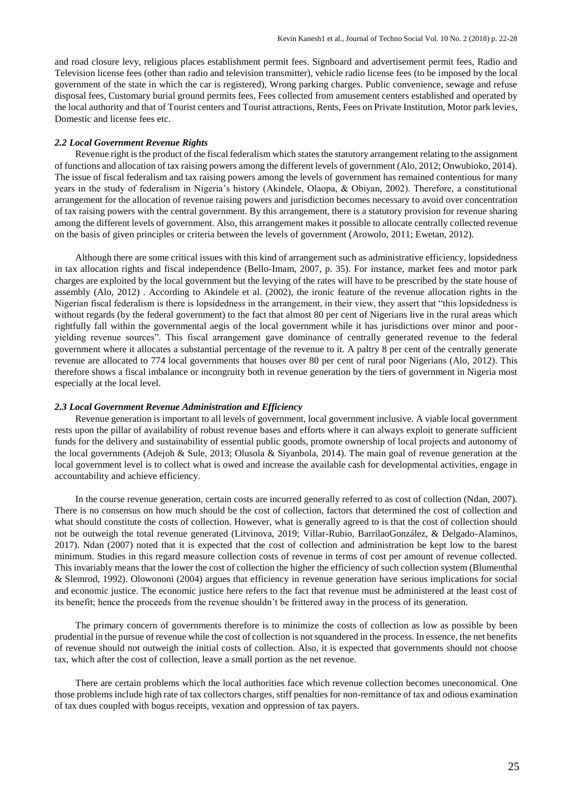and road closure levy, religious places establishment permit fees. Signboard and advertisement permit fees, Radio and Television license fees (other than radio and television transmitter), vehicle radio license fees (to be imposed by the local government of the state in which the car is registered), Wrong parking charges. Public convenience, sewage and refuse disposal fees, Customary burial ground permits fees, Fees collected from amusement centers established and operated by the local authority and that of Tourist centers and Tourist attractions, Rents, Fees on Private Institution, Motor park levies, Domestic and license fees etc.

#### *2.2 Local Government Revenue Rights*

Revenue right is the product of the fiscal federalism which states the statutory arrangement relating to the assignment of functions and allocation of tax raising powers among the different levels of government (Alo, 2012; Onwubioko, 2014). The issue of fiscal federalism and tax raising powers among the levels of government has remained contentious for many years in the study of federalism in Nigeria's history (Akindele, Olaopa, & Obiyan, 2002). Therefore, a constitutional arrangement for the allocation of revenue raising powers and jurisdiction becomes necessary to avoid over concentration of tax raising powers with the central government. By this arrangement, there is a statutory provision for revenue sharing among the different levels of government. Also, this arrangement makes it possible to allocate centrally collected revenue on the basis of given principles or criteria between the levels of government (Arowolo, 2011; Ewetan, 2012).

Although there are some critical issues with this kind of arrangement such as administrative efficiency, lopsidedness in tax allocation rights and fiscal independence (Bello-Imam, 2007, p. 35). For instance, market fees and motor park charges are exploited by the local government but the levying of the rates will have to be prescribed by the state house of assembly (Alo, 2012) . According to Akindele et al. (2002), the ironic feature of the revenue allocation rights in the Nigerian fiscal federalism is there is lopsidedness in the arrangement, in their view, they assert that "this lopsidedness is without regards (by the federal government) to the fact that almost 80 per cent of Nigerians live in the rural areas which rightfully fall within the governmental aegis of the local government while it has jurisdictions over minor and pooryielding revenue sources". This fiscal arrangement gave dominance of centrally generated revenue to the federal government where it allocates a substantial percentage of the revenue to it. A paltry 8 per cent of the centrally generate revenue are allocated to 774 local governments that houses over 80 per cent of rural poor Nigerians (Alo, 2012). This therefore shows a fiscal imbalance or incongruity both in revenue generation by the tiers of government in Nigeria most especially at the local level.

#### *2.3 Local Government Revenue Administration and Efficiency*

Revenue generation is important to all levels of government, local government inclusive. A viable local government rests upon the pillar of availability of robust revenue bases and efforts where it can always exploit to generate sufficient funds for the delivery and sustainability of essential public goods, promote ownership of local projects and autonomy of the local governments (Adejoh & Sule, 2013; Olusola & Siyanbola, 2014). The main goal of revenue generation at the local government level is to collect what is owed and increase the available cash for developmental activities, engage in accountability and achieve efficiency.

In the course revenue generation, certain costs are incurred generally referred to as cost of collection (Ndan, 2007). There is no consensus on how much should be the cost of collection, factors that determined the cost of collection and what should constitute the costs of collection. However, what is generally agreed to is that the cost of collection should not be outweigh the total revenue generated (Litvinova, 2019; Villar-Rubio, BarrilaoGonzález, & Delgado-Alaminos, 2017). Ndan (2007) noted that it is expected that the cost of collection and administration be kept low to the barest minimum. Studies in this regard measure collection costs of revenue in terms of cost per amount of revenue collected. This invariably means that the lower the cost of collection the higher the efficiency of such collection system (Blumenthal & Slemrod, 1992). Olowononi (2004) argues that efficiency in revenue generation have serious implications for social and economic justice. The economic justice here refers to the fact that revenue must be administered at the least cost of its benefit; hence the proceeds from the revenue shouldn't be frittered away in the process of its generation.

The primary concern of governments therefore is to minimize the costs of collection as low as possible by been prudential in the pursue of revenue while the cost of collection is not squandered in the process. In essence, the net benefits of revenue should not outweigh the initial costs of collection. Also, it is expected that governments should not choose tax, which after the cost of collection, leave a small portion as the net revenue.

There are certain problems which the local authorities face which revenue collection becomes uneconomical. One those problems include high rate of tax collectors charges, stiff penalties for non-remittance of tax and odious examination of tax dues coupled with bogus receipts, vexation and oppression of tax payers.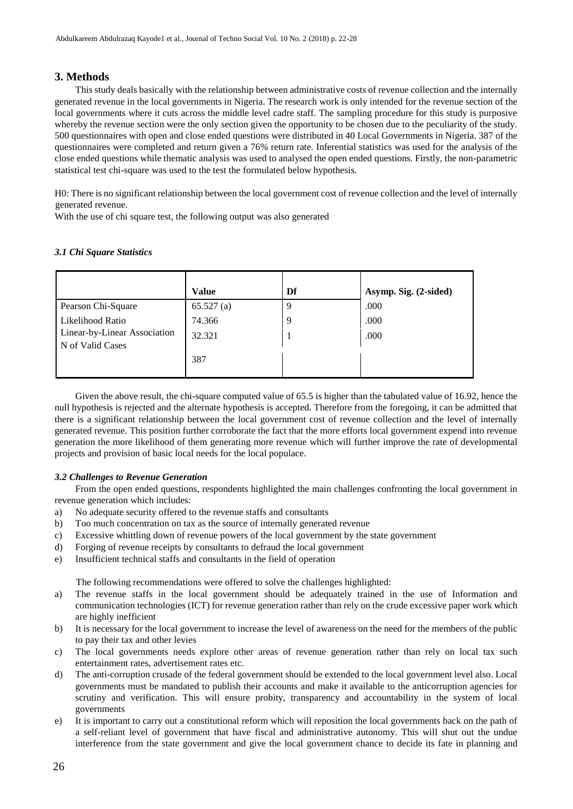## **3. Methods**

This study deals basically with the relationship between administrative costs of revenue collection and the internally generated revenue in the local governments in Nigeria. The research work is only intended for the revenue section of the local governments where it cuts across the middle level cadre staff. The sampling procedure for this study is purposive whereby the revenue section were the only section given the opportunity to be chosen due to the peculiarity of the study. 500 questionnaires with open and close ended questions were distributed in 40 Local Governments in Nigeria. 387 of the questionnaires were completed and return given a 76% return rate. Inferential statistics was used for the analysis of the close ended questions while thematic analysis was used to analysed the open ended questions. Firstly, the non-parametric statistical test chi-square was used to the test the formulated below hypothesis.

H0: There is no significant relationship between the local government cost of revenue collection and the level of internally generated revenue.

With the use of chi square test, the following output was also generated

### *3.1 Chi Square Statistics*

|                                                  | <b>Value</b> | Df | Asymp. Sig. (2-sided) |
|--------------------------------------------------|--------------|----|-----------------------|
| Pearson Chi-Square                               | 65.527(a)    | q  | .000                  |
| Likelihood Ratio                                 | 74.366       | 9  | .000                  |
| Linear-by-Linear Association<br>N of Valid Cases | 32.321       |    | .000                  |
|                                                  | 387          |    |                       |

Given the above result, the chi-square computed value of 65.5 is higher than the tabulated value of 16.92, hence the null hypothesis is rejected and the alternate hypothesis is accepted. Therefore from the foregoing, it can be admitted that there is a significant relationship between the local government cost of revenue collection and the level of internally generated revenue. This position further corroborate the fact that the more efforts local government expend into revenue generation the more likelihood of them generating more revenue which will further improve the rate of developmental projects and provision of basic local needs for the local populace.

#### *3.2 Challenges to Revenue Generation*

From the open ended questions, respondents highlighted the main challenges confronting the local government in revenue generation which includes:

- a) No adequate security offered to the revenue staffs and consultants
- b) Too much concentration on tax as the source of internally generated revenue
- c) Excessive whittling down of revenue powers of the local government by the state government
- d) Forging of revenue receipts by consultants to defraud the local government
- e) Insufficient technical staffs and consultants in the field of operation

The following recommendations were offered to solve the challenges highlighted:

- a) The revenue staffs in the local government should be adequately trained in the use of Information and communication technologies (ICT) for revenue generation rather than rely on the crude excessive paper work which are highly inefficient
- b) It is necessary for the local government to increase the level of awareness on the need for the members of the public to pay their tax and other levies
- c) The local governments needs explore other areas of revenue generation rather than rely on local tax such entertainment rates, advertisement rates etc.
- d) The anti-corruption crusade of the federal government should be extended to the local government level also. Local governments must be mandated to publish their accounts and make it available to the anticorruption agencies for scrutiny and verification. This will ensure probity, transparency and accountability in the system of local governments
- e) It is important to carry out a constitutional reform which will reposition the local governments back on the path of a self-reliant level of government that have fiscal and administrative autonomy. This will shut out the undue interference from the state government and give the local government chance to decide its fate in planning and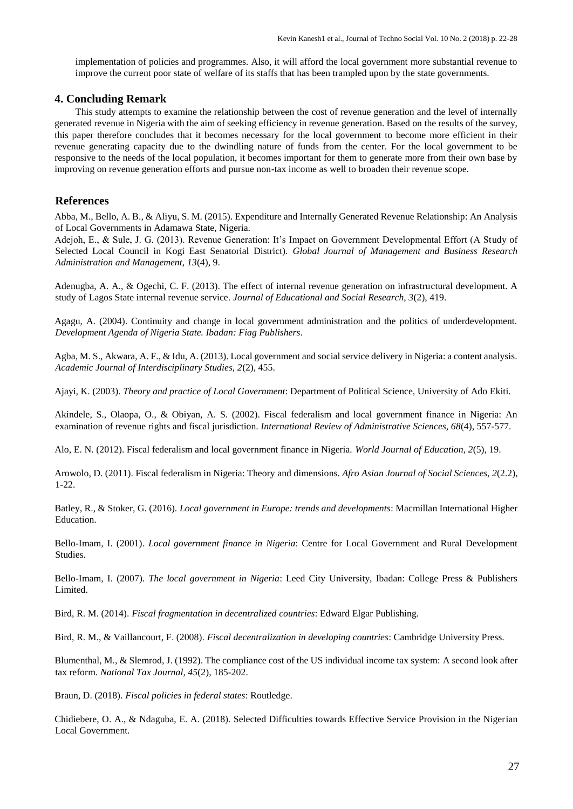implementation of policies and programmes. Also, it will afford the local government more substantial revenue to improve the current poor state of welfare of its staffs that has been trampled upon by the state governments.

#### **4. Concluding Remark**

This study attempts to examine the relationship between the cost of revenue generation and the level of internally generated revenue in Nigeria with the aim of seeking efficiency in revenue generation. Based on the results of the survey, this paper therefore concludes that it becomes necessary for the local government to become more efficient in their revenue generating capacity due to the dwindling nature of funds from the center. For the local government to be responsive to the needs of the local population, it becomes important for them to generate more from their own base by improving on revenue generation efforts and pursue non-tax income as well to broaden their revenue scope.

### **References**

Abba, M., Bello, A. B., & Aliyu, S. M. (2015). Expenditure and Internally Generated Revenue Relationship: An Analysis of Local Governments in Adamawa State, Nigeria.

Adejoh, E., & Sule, J. G. (2013). Revenue Generation: It's Impact on Government Developmental Effort (A Study of Selected Local Council in Kogi East Senatorial District). *Global Journal of Management and Business Research Administration and Management, 13*(4), 9.

Adenugba, A. A., & Ogechi, C. F. (2013). The effect of internal revenue generation on infrastructural development. A study of Lagos State internal revenue service. *Journal of Educational and Social Research, 3*(2), 419.

Agagu, A. (2004). Continuity and change in local government administration and the politics of underdevelopment. *Development Agenda of Nigeria State. Ibadan: Fiag Publishers*.

Agba, M. S., Akwara, A. F., & Idu, A. (2013). Local government and social service delivery in Nigeria: a content analysis. *Academic Journal of Interdisciplinary Studies, 2*(2), 455.

Ajayi, K. (2003). *Theory and practice of Local Government*: Department of Political Science, University of Ado Ekiti.

Akindele, S., Olaopa, O., & Obiyan, A. S. (2002). Fiscal federalism and local government finance in Nigeria: An examination of revenue rights and fiscal jurisdiction. *International Review of Administrative Sciences, 68*(4), 557-577.

Alo, E. N. (2012). Fiscal federalism and local government finance in Nigeria. *World Journal of Education, 2*(5), 19.

Arowolo, D. (2011). Fiscal federalism in Nigeria: Theory and dimensions. *Afro Asian Journal of Social Sciences, 2*(2.2), 1-22.

Batley, R., & Stoker, G. (2016). *Local government in Europe: trends and developments*: Macmillan International Higher Education.

Bello-Imam, I. (2001). *Local government finance in Nigeria*: Centre for Local Government and Rural Development Studies.

Bello-Imam, I. (2007). *The local government in Nigeria*: Leed City University, Ibadan: College Press & Publishers Limited.

Bird, R. M. (2014). *Fiscal fragmentation in decentralized countries*: Edward Elgar Publishing.

Bird, R. M., & Vaillancourt, F. (2008). *Fiscal decentralization in developing countries*: Cambridge University Press.

Blumenthal, M., & Slemrod, J. (1992). The compliance cost of the US individual income tax system: A second look after tax reform. *National Tax Journal, 45*(2), 185-202.

Braun, D. (2018). *Fiscal policies in federal states*: Routledge.

Chidiebere, O. A., & Ndaguba, E. A. (2018). Selected Difficulties towards Effective Service Provision in the Nigerian Local Government.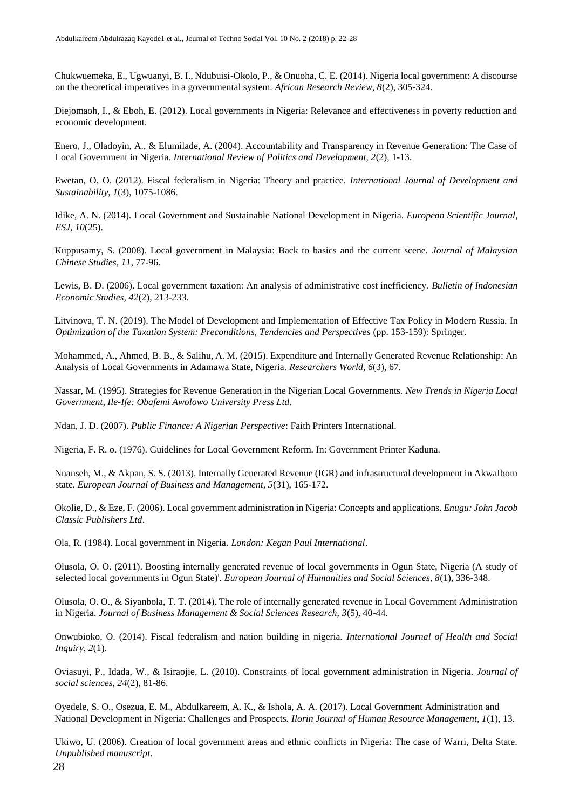Chukwuemeka, E., Ugwuanyi, B. I., Ndubuisi-Okolo, P., & Onuoha, C. E. (2014). Nigeria local government: A discourse on the theoretical imperatives in a governmental system. *African Research Review, 8*(2), 305-324.

Diejomaoh, I., & Eboh, E. (2012). Local governments in Nigeria: Relevance and effectiveness in poverty reduction and economic development.

Enero, J., Oladoyin, A., & Elumilade, A. (2004). Accountability and Transparency in Revenue Generation: The Case of Local Government in Nigeria. *International Review of Politics and Development, 2*(2), 1-13.

Ewetan, O. O. (2012). Fiscal federalism in Nigeria: Theory and practice. *International Journal of Development and Sustainability, 1*(3), 1075-1086.

Idike, A. N. (2014). Local Government and Sustainable National Development in Nigeria. *European Scientific Journal, ESJ, 10*(25).

Kuppusamy, S. (2008). Local government in Malaysia: Back to basics and the current scene. *Journal of Malaysian Chinese Studies, 11*, 77-96.

Lewis, B. D. (2006). Local government taxation: An analysis of administrative cost inefficiency. *Bulletin of Indonesian Economic Studies, 42*(2), 213-233.

Litvinova, T. N. (2019). The Model of Development and Implementation of Effective Tax Policy in Modern Russia. In *Optimization of the Taxation System: Preconditions, Tendencies and Perspectives* (pp. 153-159): Springer.

Mohammed, A., Ahmed, B. B., & Salihu, A. M. (2015). Expenditure and Internally Generated Revenue Relationship: An Analysis of Local Governments in Adamawa State, Nigeria. *Researchers World, 6*(3), 67.

Nassar, M. (1995). Strategies for Revenue Generation in the Nigerian Local Governments. *New Trends in Nigeria Local Government, Ile-Ife: Obafemi Awolowo University Press Ltd*.

Ndan, J. D. (2007). *Public Finance: A Nigerian Perspective*: Faith Printers International.

Nigeria, F. R. o. (1976). Guidelines for Local Government Reform. In: Government Printer Kaduna.

Nnanseh, M., & Akpan, S. S. (2013). Internally Generated Revenue (IGR) and infrastructural development in AkwaIbom state. *European Journal of Business and Management, 5*(31), 165-172.

Okolie, D., & Eze, F. (2006). Local government administration in Nigeria: Concepts and applications. *Enugu: John Jacob Classic Publishers Ltd*.

Ola, R. (1984). Local government in Nigeria. *London: Kegan Paul International*.

Olusola, O. O. (2011). Boosting internally generated revenue of local governments in Ogun State, Nigeria (A study of selected local governments in Ogun State)'. *European Journal of Humanities and Social Sciences, 8*(1), 336-348.

Olusola, O. O., & Siyanbola, T. T. (2014). The role of internally generated revenue in Local Government Administration in Nigeria. *Journal of Business Management & Social Sciences Research, 3*(5), 40-44.

Onwubioko, O. (2014). Fiscal federalism and nation building in nigeria. *International Journal of Health and Social Inquiry, 2*(1).

Oviasuyi, P., Idada, W., & Isiraojie, L. (2010). Constraints of local government administration in Nigeria. *Journal of social sciences, 24*(2), 81-86.

Oyedele, S. O., Osezua, E. M., Abdulkareem, A. K., & Ishola, A. A. (2017). Local Government Administration and National Development in Nigeria: Challenges and Prospects. *Ilorin Journal of Human Resource Management, 1*(1), 13.

Ukiwo, U. (2006). Creation of local government areas and ethnic conflicts in Nigeria: The case of Warri, Delta State. *Unpublished manuscript*.